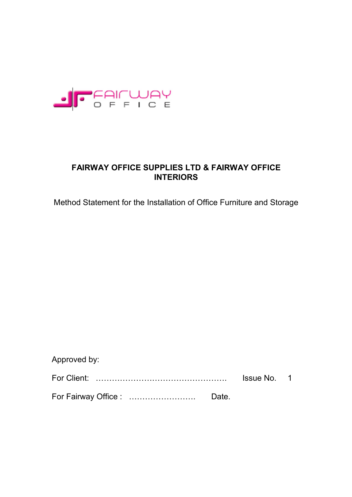

# **FAIRWAY OFFICE SUPPLIES LTD & FAIRWAY OFFICE INTERIORS**

Method Statement for the Installation of Office Furniture and Storage

| Approved by: |       |                    |  |
|--------------|-------|--------------------|--|
|              |       | <b>Issue No. 1</b> |  |
|              | Date. |                    |  |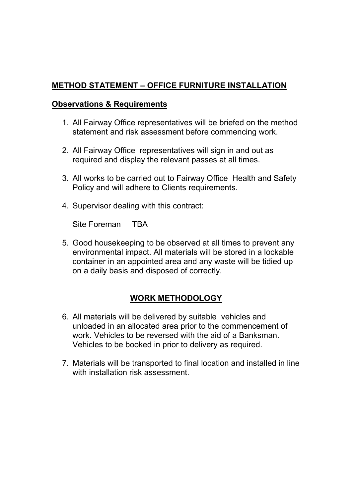# **METHOD STATEMENT – OFFICE FURNITURE INSTALLATION**

#### **Observations & Requirements**

- 1. All Fairway Office representatives will be briefed on the method statement and risk assessment before commencing work.
- 2. All Fairway Office representatives will sign in and out as required and display the relevant passes at all times.
- 3. All works to be carried out to Fairway Office Health and Safety Policy and will adhere to Clients requirements.
- 4. Supervisor dealing with this contract:

Site Foreman TBA

5. Good housekeeping to be observed at all times to prevent any environmental impact. All materials will be stored in a lockable container in an appointed area and any waste will be tidied up on a daily basis and disposed of correctly.

### **WORK METHODOLOGY**

- 6. All materials will be delivered by suitable vehicles and unloaded in an allocated area prior to the commencement of work. Vehicles to be reversed with the aid of a Banksman. Vehicles to be booked in prior to delivery as required.
- 7. Materials will be transported to final location and installed in line with installation risk assessment.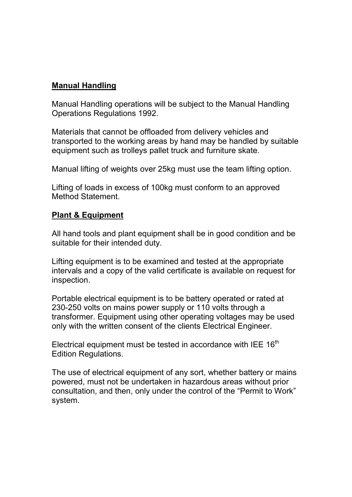### **Manual Handling**

Manual Handling operations will be subject to the Manual Handling Operations Regulations 1992.

Materials that cannot be offloaded from delivery vehicles and transported to the working areas by hand may be handled by suitable equipment such as trolleys pallet truck and furniture skate.

Manual lifting of weights over 25kg must use the team lifting option.

Lifting of loads in excess of 100kg must conform to an approved Method Statement.

#### **Plant & Equipment**

All hand tools and plant equipment shall be in good condition and be suitable for their intended duty.

Lifting equipment is to be examined and tested at the appropriate intervals and a copy of the valid certificate is available on request for inspection.

Portable electrical equipment is to be battery operated or rated at 230-250 volts on mains power supply or 110 volts through a transformer. Equipment using other operating voltages may be used only with the written consent of the clients Electrical Engineer.

Electrical equipment must be tested in accordance with IEE 16<sup>th</sup> Edition Regulations.

The use of electrical equipment of any sort, whether battery or mains powered, must not be undertaken in hazardous areas without prior consultation, and then, only under the control of the "Permit to Work" system.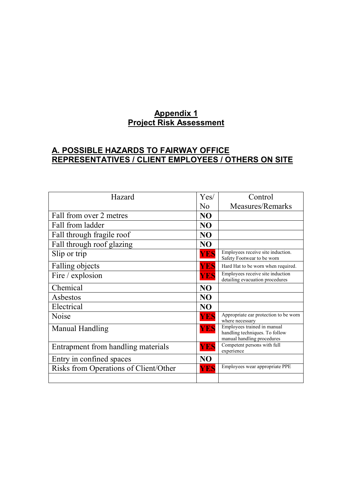#### **Appendix 1 Project Risk Assessment**

## **A. POSSIBLE HAZARDS TO FAIRWAY OFFICE REPRESENTATIVES / CLIENT EMPLOYEES / OTHERS ON SITE**

| Hazard                                | Yes/           | Control                                                                                     |
|---------------------------------------|----------------|---------------------------------------------------------------------------------------------|
|                                       | $\overline{N}$ | Measures/Remarks                                                                            |
| Fall from over 2 metres               | N <sub>O</sub> |                                                                                             |
| Fall from ladder                      | N <sub>O</sub> |                                                                                             |
| Fall through fragile roof             | N <sub>O</sub> |                                                                                             |
| Fall through roof glazing             | <b>NO</b>      |                                                                                             |
| Slip or trip                          | <b>YES</b>     | Employees receive site induction.<br>Safety Footwear to be worn                             |
| Falling objects                       | YES            | Hard Hat to be worn when required.                                                          |
| Fire / explosion                      | YES            | Employees receive site induction<br>detailing evacuation procedures                         |
| Chemical                              | N <sub>O</sub> |                                                                                             |
| Asbestos                              | N <sub>O</sub> |                                                                                             |
| Electrical                            | N <sub>O</sub> |                                                                                             |
| Noise                                 | <b>YES</b>     | Appropriate ear protection to be worn<br>where necessary                                    |
| Manual Handling                       | <b>YES</b>     | Employees trained in manual<br>handling techniques. To follow<br>manual handling procedures |
| Entrapment from handling materials    | <b>YES</b>     | Competent persons with full<br>experience                                                   |
| Entry in confined spaces              | N <sub>O</sub> |                                                                                             |
| Risks from Operations of Client/Other | <b>YES</b>     | Employees wear appropriate PPE                                                              |
|                                       |                |                                                                                             |